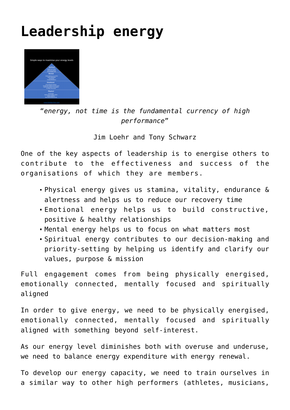## **[Leadership energy](http://boblarcher.com/leadership/leadership-energy/)**



"*energy, not time is the fundamental currency of high performance*"

Jim Loehr and Tony Schwarz

One of the key aspects of leadership is to energise others to contribute to the effectiveness and success of the organisations of which they are members.

- Physical energy gives us stamina, vitality, endurance & alertness and helps us to reduce our recovery time
- Emotional energy helps us to build constructive, positive & healthy relationships
- Mental energy helps us to focus on what matters most
- Spiritual energy contributes to our decision-making and priority-setting by helping us identify and clarify our values, purpose & mission

Full engagement comes from being physically energised, emotionally connected, mentally focused and spiritually aligned

In order to give energy, we need to be physically energised, emotionally connected, mentally focused and spiritually aligned with something beyond self-interest.

As our energy level diminishes both with overuse and underuse, we need to balance energy expenditure with energy renewal.

To develop our energy capacity, we need to train ourselves in a similar way to other high performers (athletes, musicians,